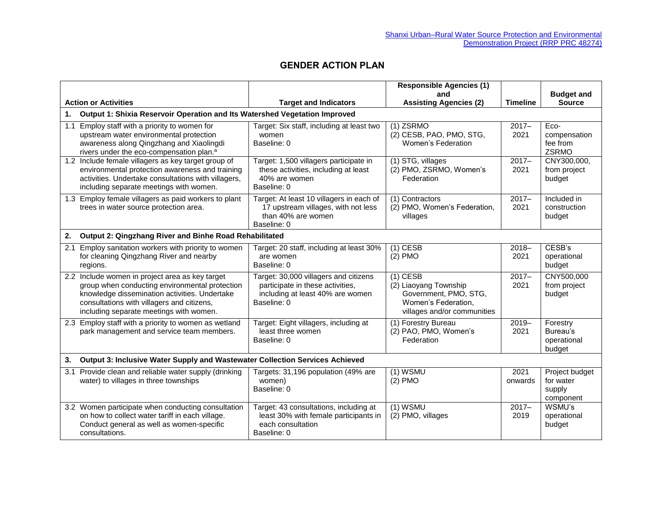## GENDER ACTION PLAN

|     |                                                                                                                                                                                                                                             |                                                                                                                              | <b>Responsible Agencies (1)</b>                                                                                    |                  |                                                    |  |  |  |
|-----|---------------------------------------------------------------------------------------------------------------------------------------------------------------------------------------------------------------------------------------------|------------------------------------------------------------------------------------------------------------------------------|--------------------------------------------------------------------------------------------------------------------|------------------|----------------------------------------------------|--|--|--|
|     |                                                                                                                                                                                                                                             |                                                                                                                              | and                                                                                                                |                  | <b>Budget and</b>                                  |  |  |  |
|     | <b>Action or Activities</b>                                                                                                                                                                                                                 | <b>Target and Indicators</b>                                                                                                 | <b>Assisting Agencies (2)</b>                                                                                      | <b>Timeline</b>  | <b>Source</b>                                      |  |  |  |
| 1.  | Output 1: Shixia Reservoir Operation and Its Watershed Vegetation Improved                                                                                                                                                                  |                                                                                                                              |                                                                                                                    |                  |                                                    |  |  |  |
| 1.1 | Employ staff with a priority to women for<br>upstream water environmental protection<br>awareness along Qingzhang and Xiaolingdi<br>rivers under the eco-compensation plan. <sup>a</sup>                                                    | Target: Six staff, including at least two<br>women<br>Baseline: 0                                                            | $(1)$ ZSRMO<br>(2) CESB, PAO, PMO, STG,<br>Women's Federation                                                      | $2017 -$<br>2021 | Eco-<br>compensation<br>fee from<br><b>ZSRMO</b>   |  |  |  |
|     | 1.2 Include female villagers as key target group of<br>environmental protection awareness and training<br>activities. Undertake consultations with villagers,<br>including separate meetings with women.                                    | Target: 1,500 villagers participate in<br>these activities, including at least<br>40% are women<br>Baseline: 0               | (1) STG, villages<br>(2) PMO, ZSRMO, Women's<br>Federation                                                         | $2017 -$<br>2021 | CNY300,000,<br>from project<br>budget              |  |  |  |
|     | 1.3 Employ female villagers as paid workers to plant<br>trees in water source protection area.                                                                                                                                              | Target: At least 10 villagers in each of<br>17 upstream villages, with not less<br>than 40% are women<br>Baseline: 0         | (1) Contractors<br>(2) PMO, Women's Federation,<br>villages                                                        | $2017 -$<br>2021 | Included in<br>construction<br>budget              |  |  |  |
| 2.  | Output 2: Qingzhang River and Binhe Road Rehabilitated                                                                                                                                                                                      |                                                                                                                              |                                                                                                                    |                  |                                                    |  |  |  |
| 2.1 | Employ sanitation workers with priority to women<br>for cleaning Qingzhang River and nearby<br>regions.                                                                                                                                     | Target: 20 staff, including at least 30%<br>are women<br>Baseline: 0                                                         | $(1)$ CESB<br>$(2)$ PMO                                                                                            | $2018 -$<br>2021 | CESB's<br>operational<br>budget                    |  |  |  |
|     | 2.2 Include women in project area as key target<br>group when conducting environmental protection<br>knowledge dissemination activities. Undertake<br>consultations with villagers and citizens,<br>including separate meetings with women. | Target: 30,000 villagers and citizens<br>participate in these activities,<br>including at least 40% are women<br>Baseline: 0 | $(1)$ CESB<br>(2) Liaoyang Township<br>Government, PMO, STG,<br>Women's Federation,<br>villages and/or communities | $2017 -$<br>2021 | CNY500,000<br>from project<br>budget               |  |  |  |
|     | 2.3 Employ staff with a priority to women as wetland<br>park management and service team members.                                                                                                                                           | Target: Eight villagers, including at<br>least three women<br>Baseline: 0                                                    | (1) Forestry Bureau<br>(2) PAO, PMO, Women's<br>Federation                                                         | $2019 -$<br>2021 | Forestry<br>Bureau's<br>operational<br>budget      |  |  |  |
| 3.  | Output 3: Inclusive Water Supply and Wastewater Collection Services Achieved                                                                                                                                                                |                                                                                                                              |                                                                                                                    |                  |                                                    |  |  |  |
| 3.1 | Provide clean and reliable water supply (drinking<br>water) to villages in three townships                                                                                                                                                  | Targets: 31,196 population (49% are<br>women)<br>Baseline: 0                                                                 | $(1)$ WSMU<br>$(2)$ PMO                                                                                            | 2021<br>onwards  | Project budget<br>for water<br>supply<br>component |  |  |  |
|     | 3.2 Women participate when conducting consultation<br>on how to collect water tariff in each village.<br>Conduct general as well as women-specific<br>consultations.                                                                        | Target: 43 consultations, including at<br>least 30% with female participants in<br>each consultation<br>Baseline: 0          | $(1)$ WSMU<br>(2) PMO, villages                                                                                    | $2017 -$<br>2019 | WSMU's<br>operational<br>budget                    |  |  |  |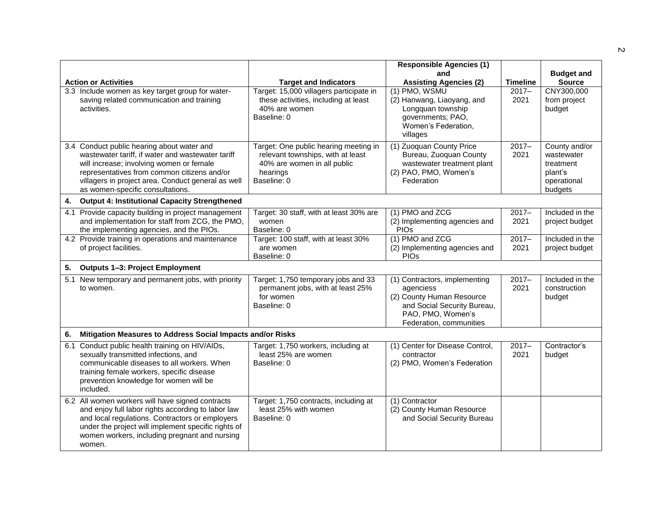|     |                                                                                                                                                                                                                                                                                      |                                                                                                                                                 | <b>Responsible Agencies (1)</b><br>and                                                                                                                    |                                     | <b>Budget and</b>                                                             |
|-----|--------------------------------------------------------------------------------------------------------------------------------------------------------------------------------------------------------------------------------------------------------------------------------------|-------------------------------------------------------------------------------------------------------------------------------------------------|-----------------------------------------------------------------------------------------------------------------------------------------------------------|-------------------------------------|-------------------------------------------------------------------------------|
|     | <b>Action or Activities</b><br>3.3 Include women as key target group for water-<br>saving related communication and training<br>activities.                                                                                                                                          | <b>Target and Indicators</b><br>Target: 15,000 villagers participate in<br>these activities, including at least<br>40% are women<br>Baseline: 0 | <b>Assisting Agencies (2)</b><br>(1) PMO, WSMU<br>(2) Hanwang, Liaoyang, and<br>Longquan township<br>governments; PAO,<br>Women's Federation,<br>villages | <b>Timeline</b><br>$2017 -$<br>2021 | <b>Source</b><br>CNY300,000<br>from project<br>budget                         |
|     | 3.4 Conduct public hearing about water and<br>wastewater tariff, if water and wastewater tariff<br>will increase; involving women or female<br>representatives from common citizens and/or<br>villagers in project area. Conduct general as well<br>as women-specific consultations. | Target: One public hearing meeting in<br>relevant townships, with at least<br>40% are women in all public<br>hearings<br>Baseline: 0            | (1) Zuoquan County Price<br>Bureau, Zuoquan County<br>wastewater treatment plant<br>(2) PAO, PMO, Women's<br>Federation                                   | $2017 -$<br>2021                    | County and/or<br>wastewater<br>treatment<br>plant's<br>operational<br>budgets |
| 4.  | <b>Output 4: Institutional Capacity Strengthened</b>                                                                                                                                                                                                                                 |                                                                                                                                                 |                                                                                                                                                           |                                     |                                                                               |
|     | 4.1 Provide capacity building in project management<br>and implementation for staff from ZCG, the PMO,<br>the implementing agencies, and the PIOs.                                                                                                                                   | Target: 30 staff, with at least 30% are<br>women<br>Baseline: 0                                                                                 | (1) PMO and ZCG<br>(2) Implementing agencies and<br><b>PIO<sub>s</sub></b>                                                                                | $2017 -$<br>2021                    | Included in the<br>project budget                                             |
|     | 4.2 Provide training in operations and maintenance<br>of project facilities.                                                                                                                                                                                                         | Target: 100 staff, with at least 30%<br>are women<br>Baseline: 0                                                                                | (1) PMO and ZCG<br>(2) Implementing agencies and<br><b>PIO<sub>s</sub></b>                                                                                | $2017 -$<br>2021                    | Included in the<br>project budget                                             |
| 5.  | Outputs 1-3: Project Employment                                                                                                                                                                                                                                                      |                                                                                                                                                 |                                                                                                                                                           |                                     |                                                                               |
|     | 5.1 New temporary and permanent jobs, with priority<br>to women.                                                                                                                                                                                                                     | Target: 1,750 temporary jobs and 33<br>permanent jobs, with at least 25%<br>for women<br>Baseline: 0                                            | (1) Contractors, implementing<br>agenciess<br>(2) County Human Resource<br>and Social Security Bureau,<br>PAO, PMO, Women's<br>Federation, communities    | $2017 -$<br>2021                    | Included in the<br>construction<br>budget                                     |
| 6.  | Mitigation Measures to Address Social Impacts and/or Risks                                                                                                                                                                                                                           |                                                                                                                                                 |                                                                                                                                                           |                                     |                                                                               |
| 6.1 | Conduct public health training on HIV/AIDs,<br>sexually transmitted infections, and<br>communicable diseases to all workers. When<br>training female workers, specific disease<br>prevention knowledge for women will be<br>included.                                                | Target: 1,750 workers, including at<br>least 25% are women<br>Baseline: 0                                                                       | (1) Center for Disease Control,<br>contractor<br>(2) PMO, Women's Federation                                                                              | $2017 -$<br>2021                    | Contractor's<br>budget                                                        |
|     | 6.2 All women workers will have signed contracts<br>and enjoy full labor rights according to labor law<br>and local regulations. Contractors or employers<br>under the project will implement specific rights of<br>women workers, including pregnant and nursing<br>women.          | Target: 1,750 contracts, including at<br>least 25% with women<br>Baseline: 0                                                                    | (1) Contractor<br>(2) County Human Resource<br>and Social Security Bureau                                                                                 |                                     |                                                                               |